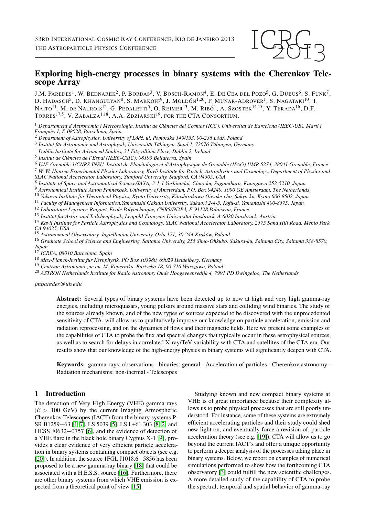

# Exploring high-energy processes in binary systems with the Cherenkov Telescope Array

J.M. PAREDES<sup>1</sup>, W. BEDNAREK<sup>2</sup>, P. BORDAS<sup>3</sup>, V. BOSCH-RAMON<sup>4</sup>, E. DE CEA DEL POZO<sup>5</sup>, G. DUBUS<sup>6</sup>, S. FUNK<sup>7</sup>, D. HADASCH<sup>5</sup>, D. KHANGULYAN<sup>8</sup>, S. MARKOFF<sup>9</sup>, J. MOLDÓN<sup>1,20</sup>, P. MUNAR-ADROVER<sup>1</sup>, S. NAGATAKI<sup>10</sup>, T. Naito $^{11}$ , M. de Naurois $^{12}$ , G. Pedaletti $^{5}$ , O. Reimer $^{13}$ , M. Ribó $^{1}$ , A. Szostek $^{14,15}$ , Y. Terada $^{16}$ , D.F. TORRES<sup>17,5</sup>, V. ZABALZA<sup>1,18</sup>, A.A. ZDZIARSKI<sup>19</sup>, for the CTA Consortium.

<sup>1</sup> Departament d'Astronomia i Meteorologia, Institut de Ciències del Cosmos (ICC), Universitat de Barcelona (IEEC-UB), Martí i *Franques 1, E-08028, Barcelona, Spain `*

<sup>2</sup> *Department of Astrophysics, University of Lod´ z, ul. Pomorska 149/153, 90-236 L ´ od´ z, Poland ´*

<sup>3</sup> Institut für Astronomie und Astrophysik, Universität Tübingen, Sand 1, 72076 Tübingen, Germany

<sup>4</sup> *Dublin Institute for Advanced Studies, 31 Fitzwilliam Place, Dublin 2, Ireland*

5 *Institut de Ciencies de l'Espai (IEEC-CSIC), 08193 Bellaterra, Spain `*

<sup>6</sup> *UJF-Grenoble 1/CNRS-INSU, Institut de Planetologie et d'Astrophysique de Grenoble (IPAG) UMR 5274, 38041 Grenoble, France ´* <sup>7</sup> *W. W. Hansen Experimental Physics Laboratory, Kavli Institute for Particle Astrophysics and Cosmology, Department of Physics and SLAC National Accelerator Laboratory, Stanford University, Stanford, CA 94305, USA*

8 *Institute of Space and Astronautical Science/JAXA, 3-1-1 Yoshinodai, Chuo-ku, Sagamihara, Kanagawa 252-5210, Japan*

<sup>9</sup> *Astronomical Institute Anton Pannekoek, University of Amsterdam, P.O. Box 94249, 1090 GE Amsterdam, The Netherlands*

<sup>10</sup> *Yukawa Institute for Theoretical Physics, Kyoto University, Kitashirakawa Oiwake-cho, Sakyo-ku, Kyoto 606-8502, Japan*

<sup>11</sup> *Faculty of Management Information,Yamanashi Gakuin University, Sakaori 2-4-5, Kofu-si, Yamanashi 400-8575, Japan*

<sup>12</sup> *Laboratoire Leprince-Ringuet, Ecole Polytechnique, CNRS/IN2P3, F-91128 Palaiseau, France*

<sup>13</sup> Institut für Astro- und Teilchenphysik, Leopold-Franzens-Universität Innsbruck, A-6020 Innsbruck, Austria

<sup>14</sup> *Kavli Institute for Particle Astrophysics and Cosmology, SLAC National Accelerator Laboratory, 2575 Sand Hill Road, Menlo Park, CA 94025, USA*

<sup>15</sup> *Astronomical Observatory, Jagiellonian University, Orla 171, 30-244 Krakow, Poland ´*

<sup>16</sup> *Graduate School of Science and Engineering, Saitama University, 255 Simo-Ohkubo, Sakura-ku, Saitama City, Saitama 338-8570, Japan*

<sup>17</sup> *ICREA, 08010 Barcelona, Spain*

<sup>18</sup> Max-Planck-Institut für Kernphysik, PO Box 103980, 69029 Heidelberg, Germany

<sup>19</sup> *Centrum Astronomiczne im. M. Kopernika, Bartycka 18, 00-716 Warszawa, Poland*

<sup>20</sup> *ASTRON Netherlands Institute for Radio Astronomy Oude Hoogeveensedijk 4, 7991 PD Dwingeloo, The Netherlands*

*jmparedes@ub.edu*

Abstract: Several types of binary systems have been detected up to now at high and very high gamma-ray energies, including microquasars, young pulsars around massive stars and colliding wind binaries. The study of the sources already known, and of the new types of sources expected to be discovered with the unprecedented sensitivity of CTA, will allow us to qualitatively improve our knowledge on particle acceleration, emission and radiation reprocessing, and on the dynamics of flows and their magnetic fields. Here we present some examples of the capabilities of CTA to probe the flux and spectral changes that typically occur in these astrophysical sources, as well as to search for delays in correlated X-ray/TeV variability with CTA and satellites of the CTA era. Our results show that our knowledge of the high-energy physics in binary systems will significantly deepen with CTA.

Keywords: gamma-rays: observations - binaries: general - Acceleration of particles - Cherenkov astronomy - Radiation mechanisms: non-thermal - Telescopes

#### 1 Introduction

The detection of Very High Energy (VHE) gamma rays  $(E > 100 \text{ GeV})$  by the current Imaging Atmospheric Cherenkov Telescopes (IACT) from the binary systems P-SR B1259−63 [\[4,](#page-3-0) [7\]](#page-3-1), LS 5039 [\[5\]](#page-3-2), LS I +61 303 [\[8,](#page-3-3) [2\]](#page-3-4) and HESS J0632+0757 [\[6\]](#page-3-5), and the evidence of detection of a VHE flare in the black hole binary Cygnus X-1 [\[9\]](#page-3-6), provides a clear evidence of very efficient particle acceleration in binary systems containing compact objects (see e.g. [\[20\]](#page-3-7)). In addition, the source 1FGL J1018.6−5856 has been proposed to be a new gamma-ray binary [\[18\]](#page-3-8) that could be associated with a H.E.S.S. source [\[16\]](#page-3-9). Furthermore, there are other binary systems from which VHE emission is expected from a theoretical point of view [\[15\]](#page-3-10).

Studying known and new compact binary systems at VHE is of great importance because their complexity allows us to probe physical processes that are still poorly understood. For instance, some of these systems are extremely efficient accelerating particles and their study could shed new light on, and eventually force a revision of, particle acceleration theory (see e.g. [\[19\]](#page-3-11)). CTA will allow us to go beyond the current IACT's and offer a unique opportunity to perform a deeper analysis of the processes taking place in binary systems. Below, we report on examples of numerical simulations performed to show how the forthcoming CTA observatory [\[3\]](#page-3-12) could fulfill the new scientific challenges. A more detailed study of the capability of CTA to probe the spectral, temporal and spatial behavior of gamma-ray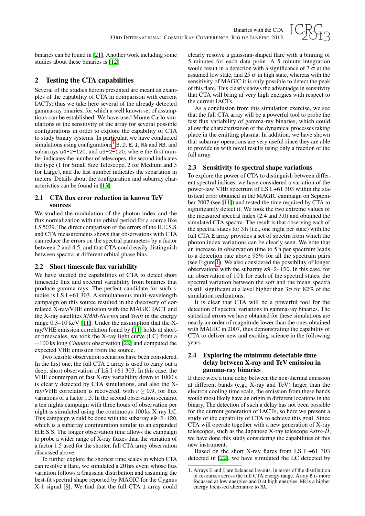

binaries can be found in [\[21\]](#page-3-13). Another work including some studies about these binaries is [\[12\]](#page-3-14)

## 2 Testing the CTA capabilities

Several of the studies herein presented are meant as examples of the capability of CTA in comparison with current IACTs; thus we take here several of the already detected gamma-ray binaries, for which a well known set of assumptions can be established. We have used Monte Carlo simulations of the sensitivity of the array for several possible configurations in order to explore the capability of CTA to study binary systems. In particular, we have conducted simulations using configurations<sup>[1](#page-1-0)</sup> B, D, E, I, NA and NB, and subarrays s4-2-120, and s9-2-120, where the first number indicates the number of telescopes, the second indicates the type (1 for Small Size Telescope, 2 for Medium and 3 for Large), and the last number indicates the separation in meters. Details about the configuration and subarray characteristics can be found in [\[13\]](#page-3-15).

#### 2.1 CTA flux error reduction in known TeV sources

We studied the modulation of the photon index and the flux normalization with the orbital period for a source like LS 5039. The direct comparison of the errors of the H.E.S.S. and CTA measurements shows that observations with CTA can reduce the errors on the spectral parameters by a factor between 2 and 4.5, and that CTA could easily distinguish between spectra at different orbital phase bins.

### 2.2 Short timescale flux variability

We have studied the capabilities of CTA to detect short timescale flux and spectral variability from binaries that produce gamma rays. The perfect candidate for such studies is LS I +61 303. A simultaneous multi-wavelength campaign on this source resulted in the discovery of correlated X-ray/VHE emission with the MAGIC IACT and the X-ray satellites *XMM-Newton* and *Swift* in the energy range 0.3–10 keV [\[11\]](#page-3-16). Under the assumption that the Xray/VHE emission correlation found by [\[11\]](#page-3-16) holds at shorter timescales, we took the X-ray light curve (LC) from a ∼100 ks long *Chandra* observation [\[22\]](#page-3-17) and computed the expected VHE emission from the source.

Two feasible observation scenarios have been considered. In the first one, the full CTA I array is used to carry out a deep, short observation of LS I +61 303. In this case, the VHE counterpart of fast X-ray variability down to 1000 s is clearly detected by CTA simulations, and also the Xray/VHE correlation is recovered, with  $r \geq 0.9$ , for flux variations of a factor 1.5. In the second observation scenario, a ten nights campaign with three hours of observation per night is simulated using the continuous 100 ks X-ray LC. This campaign would be done with the subarray s9-2-120, which is a subarray configuration similar to an expanded H.E.S.S. The longer observation time allows the campaign to probe a wider range of X-ray fluxes than the variation of a factor 1.5 used for the shorter, full CTA array observation discussed above.

To further explore the shortest time scales in which CTA can resolve a flare, we simulated a 20 hrs event whose flux variation follows a Gaussian distribution and assuming the best-fit spectral shape reported by MAGIC for the Cygnus X-1 signal [\[9\]](#page-3-6). We find that the full CTA I array could

clearly resolve a gaussian-shaped flare with a binning of 5 minutes for each data point. A 5 minute integration would result in a detection with a significance of  $7\sigma$  at the assumed low state, and 25  $\sigma$  in high state, whereas with the sensitivity of MAGIC it is only possible to detect the peak of this flare. This clearly shows the advantadge in sensitivity that CTA will bring at very high energies with respect to the current IACTs.

As a conclusion from this simulation exercise, we see that the full CTA array will be a powerful tool to probe the fast flux variability of gamma-ray binaries, which could allow the characterization of the dynamical processes taking place in the emitting plasma. In addition, we have shown that subarray operations are very useful since they are able to provide us with novel results using only a fraction of the full array.

### 2.3 Sensitivity to spectral shape variations

To explore the power of CTA to distinguish between different spectral indices, we have considered a variation of the power-law VHE spectrum of LS I +61 303 within the statistical error obtained in the MAGIC campaign on September 2007 (see [\[11\]](#page-3-16)) and tested the time required by CTA to significantly detect it. We took the two extreme values of the measured spectral index (2.4 and 3.0) and obtained the simulated CTA spectra. The result is that observing each of the spectral states for 3 h (i.e., one night per state) with the full CTA E array provides a set of spectra from which the photon index variations can be clearly seen. We note that an increase in observation time to 5 h per spectrum leads to a detection rate above 95% for all the spectrum pairs (see Figure [1\)](#page-2-0). We also considered the possibility of longer observations with the subarray s9-2-120. In this case, for an observation of 10 h for each of the spectral states, the spectral variation between the soft and the mean spectra is still significant at a level higher than  $3\sigma$  for 82% of the simulation realizations.

It is clear that CTA will be a powerful tool for the detection of spectral variations in gamma-ray binaries. The statistical errors we have obtained for these simulations are nearly an order of magnitude lower than the ones obtained with MAGIC in 2007, thus demonstrating the capability of CTA to deliver new and exciting science in the following years.

#### 2.4 Exploring the minimum detectable time delay between X-ray and TeV emission in gamma-ray binaries

If there were a time delay between the non-thermal emission at different bands (e.g., X-ray and TeV) larger than the electron cooling time scale, the emission from these bands would most likely have an origin in different locations in the binary. The detection of such a delay has not been possible for the current generation of IACTs, so here we present a study of the capability of CTA to achieve this goal. Since CTA will operate together with a new generation of X-ray telescopes, such as the Japanese X-ray telescope *Astro-H*, we have done this study considering the capabilities of this new instrument.

Based on the short X-ray flares from LS I +61 303 detected in [\[22\]](#page-3-17), we have simulated the LC detected by

<span id="page-1-0"></span><sup>1.</sup> Arrays E and I are balanced layouts, in terms of the distribution of resources across the full CTA energy range. Array B is more focussed at low energies and D at high energies. NB is a higher energy focussed alternative to NA.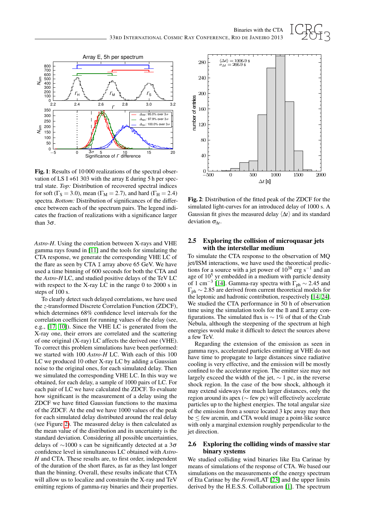

<span id="page-2-0"></span>Fig. 1: Results of 10 000 realizations of the spectral observation of LS I +61 303 with the array E during  $5h$  per spectral state. *Top:* Distribution of recovered spectral indices for soft ( $\Gamma$ <sub>S</sub> = 3.0), mean ( $\Gamma$ <sub>M</sub> = 2.7), and hard ( $\Gamma$ <sub>H</sub> = 2.4) spectra. *Bottom:* Distribution of significances of the difference between each of the spectrum pairs. The legend indicates the fraction of realizations with a significance larger than  $3\sigma$ .

*Astro-H*. Using the correlation between X-rays and VHE gamma rays found in [\[11\]](#page-3-16) and the tools for simulating the CTA response, we generate the corresponding VHE LC of the flare as seen by CTA I array above 65 GeV. We have used a time binning of 600 seconds for both the CTA and the *Astro-H* LC, and studied positive delays of the TeV LC with respect to the X-ray LC in the range 0 to 2000 s in steps of 100 s.

To clearly detect such delayed correlations, we have used the *z*-transformed Discrete Correlation Function (ZDCF), which determines 68% confidence level intervals for the correlation coefficient for running values of the delay (see, e.g., [\[17,](#page-3-18) [10\]](#page-3-19)). Since the VHE LC is generated from the X-ray one, their errors are correlated and the scattering of one original (X-ray) LC affects the derived one (VHE). To correct this problem simulations have been performed: we started with 100 *Astro-H* LC. With each of this 100 LC we produced 10 other X-ray LC by adding a Gaussian noise to the original ones, for each simulated delay. Then we simulated the corresponding VHE LC. In this way we obtained, for each delay, a sample of 1000 pairs of LC. For each pair of LC we have calculated the ZDCF. To evaluate how significant is the measurement of a delay using the ZDCF we have fitted Gaussian functions to the maxima of the ZDCF. At the end we have 1000 values of the peak for each simulated delay distributed around the real delay (see Figure [2\)](#page-2-1). The measured delay is then calculated as the mean value of the distribution and its uncertainty is the standard deviation. Considering all possible uncertainties, delays of ∼1000 s can be significantly detected at a 3σ confidence level in simultaneous LC obtained with *Astro-H* and CTA. These results are, to first order, independent of the duration of the short flares, as far as they last longer than the binning. Overall, these results indicate that CTA will allow us to localize and constrain the X-ray and TeV emitting regions of gamma-ray binaries and their properties.



<span id="page-2-1"></span>Fig. 2: Distribution of the fitted peak of the ZDCF for the simulated light-curves for an introduced delay of 1000 s. A Gaussian fit gives the measured delay  $\langle \Delta t \rangle$  and its standard deviation  $\sigma_{\Delta t}$ .

#### 2.5 Exploring the collision of microquasar jets with the interstellar medium

To simulate the CTA response to the observation of MQ jet/ISM interactions, we have used the theoretical predictions for a source with a jet power of  $10^{38}$  erg s<sup>-1</sup> and an age of  $10<sup>5</sup>$  yr embedded in a medium with particle density of 1 cm<sup>-3</sup> [\[14\]](#page-3-20). Gamma-ray spectra with  $\Gamma_{ph} \sim 2.45$  and  $\Gamma_{\rm ph} \sim 2.85$  are derived from current theoretical models for the leptonic and hadronic contribution, respectively [\[14,](#page-3-20) [24\]](#page-3-21). We studied the CTA performance in 50 h of observation time using the simulation tools for the B and E array configurations. The simulated flux is  $\sim$  1% of that of the Crab Nebula, although the steepening of the spectrum at high energies would make it difficult to detect the sources above a few TeV.

Regarding the extension of the emission as seen in gamma rays, accelerated particles emitting at VHE do not have time to propagate to large distances since radiative cooling is very effective, and the emission will be mostly confined to the accelerator region. The emitter size may not largely exceed the width of the jet,  $\sim$  1 pc, in the reverse shock region. In the case of the bow shock, although it may extend sideways for much larger distances, only the region around its apex (∼ few pc) will effectively accelerate particles up to the highest energies. The total angular size of the emission from a source located 3 kpc away may then  $be \le$  few arcmin, and CTA would image a point-like source with only a marginal extension roughly perpendicular to the jet direction.

#### 2.6 Exploring the colliding winds of massive star binary systems

We studied colliding wind binaries like Eta Carinae by means of simulations of the response of CTA. We based our simulations on the measurements of the energy spectrum of Eta Carinae by the *Fermi*/LAT [\[23\]](#page-3-22) and the upper limits derived by the H.E.S.S. Collaboration [\[1\]](#page-3-23). The spectrum